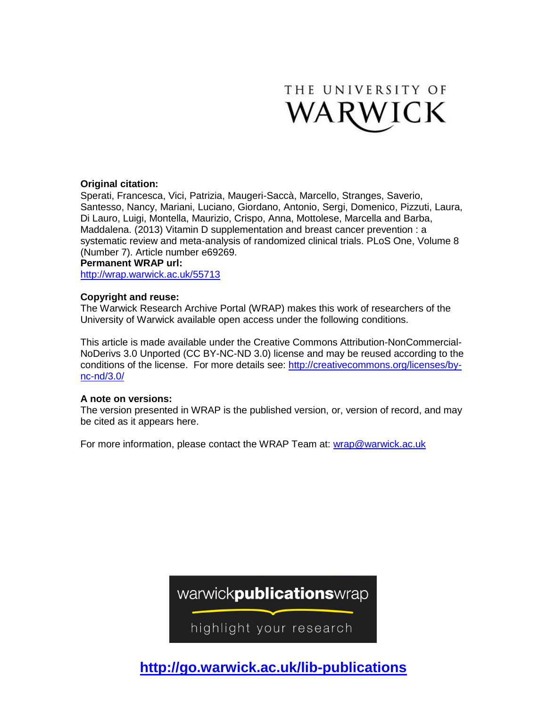

# **Original citation:**

Sperati, Francesca, Vici, Patrizia, Maugeri-Saccà, Marcello, Stranges, Saverio, Santesso, Nancy, Mariani, Luciano, Giordano, Antonio, Sergi, Domenico, Pizzuti, Laura, Di Lauro, Luigi, Montella, Maurizio, Crispo, Anna, Mottolese, Marcella and Barba, Maddalena. (2013) Vitamin D supplementation and breast cancer prevention : a systematic review and meta-analysis of randomized clinical trials. PLoS One, Volume 8 (Number 7). Article number e69269.

**Permanent WRAP url:** <http://wrap.warwick.ac.uk/55713>

# **Copyright and reuse:**

The Warwick Research Archive Portal (WRAP) makes this work of researchers of the University of Warwick available open access under the following conditions.

This article is made available under the Creative Commons Attribution-NonCommercial-NoDerivs 3.0 Unported (CC BY-NC-ND 3.0) license and may be reused according to the conditions of the license. For more details see: [http://creativecommons.org/licenses/by](http://creativecommons.org/licenses/by-nc-nd/3.0/)[nc-nd/3.0/](http://creativecommons.org/licenses/by-nc-nd/3.0/)

# **A note on versions:**

The version presented in WRAP is the published version, or, version of record, and may be cited as it appears here.

For more information, please contact the WRAP Team at: [wrap@warwick.ac.uk](mailto:wrap@warwick.ac.uk)



**http://go.warwick.ac.uk/lib-publications**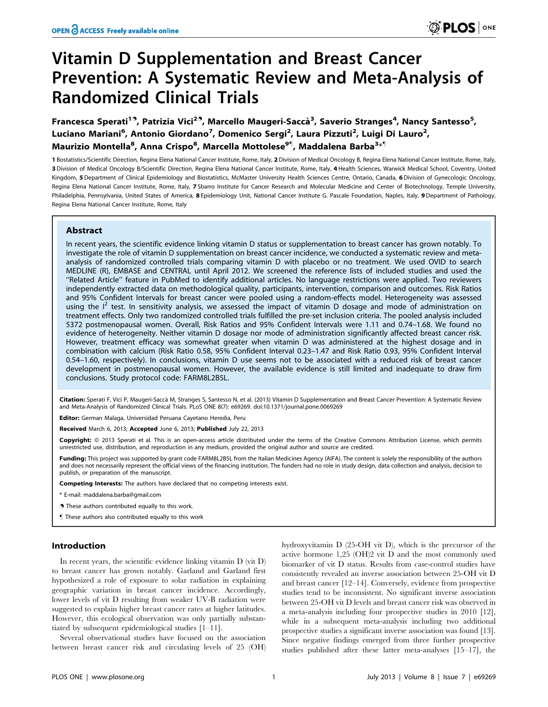# Vitamin D Supplementation and Breast Cancer Prevention: A Systematic Review and Meta-Analysis of Randomized Clinical Trials

Francesca Sperati<sup>19</sup>, Patrizia Vici<sup>29</sup>, Marcello Maugeri-Saccà<sup>3</sup>, Saverio Stranges<sup>4</sup>, Nancy Santesso<sup>5</sup>, Luciano Mariani<sup>6</sup>, Antonio Giordano<sup>7</sup>, Domenico Sergi<sup>2</sup>, Laura Pizzuti<sup>2</sup>, Luigi Di Lauro<sup>2</sup>, Maurizio Montella<sup>8</sup>, Anna Crispo<sup>8</sup>, Marcella Mottolese<sup>9¶</sup>, Maddalena Barba<sup>3</sup>\*<sup>¶</sup>

1 Bostatistics/Scientific Direction, Regina Elena National Cancer Institute, Rome, Italy, 2 Division of Medical Oncology B, Regina Elena National Cancer Institute, Rome, Italy, 3 Division of Medical Oncology B/Scientific Direction, Regina Elena National Cancer Institute, Rome, Italy, 4 Health Sciences, Warwick Medical School, Coventry, United Kingdom, 5 Department of Clinical Epidemiology and Biostatistics, McMaster University Health Sciences Centre, Ontario, Canada, 6 Division of Gynecologic Oncology, Regina Elena National Cancer Institute, Rome, Italy, 7 Sbarro Institute for Cancer Research and Molecular Medicine and Center of Biotechnology, Temple University, Philadelphia, Pennsylvania, United States of America, 8 Epidemiology Unit, National Cancer Institute G. Pascale Foundation, Naples, Italy, 9 Department of Pathology, Regina Elena National Cancer Institute, Rome, Italy

# Abstract

In recent years, the scientific evidence linking vitamin D status or supplementation to breast cancer has grown notably. To investigate the role of vitamin D supplementation on breast cancer incidence, we conducted a systematic review and metaanalysis of randomized controlled trials comparing vitamin D with placebo or no treatment. We used OVID to search MEDLINE (R), EMBASE and CENTRAL until April 2012. We screened the reference lists of included studies and used the ''Related Article'' feature in PubMed to identify additional articles. No language restrictions were applied. Two reviewers independently extracted data on methodological quality, participants, intervention, comparison and outcomes. Risk Ratios and 95% Confident Intervals for breast cancer were pooled using a random-effects model. Heterogeneity was assessed using the  $I^2$  test. In sensitivity analysis, we assessed the impact of vitamin D dosage and mode of administration on treatment effects. Only two randomized controlled trials fulfilled the pre-set inclusion criteria. The pooled analysis included 5372 postmenopausal women. Overall, Risk Ratios and 95% Confident Intervals were 1.11 and 0.74–1.68. We found no evidence of heterogeneity. Neither vitamin D dosage nor mode of administration significantly affected breast cancer risk. However, treatment efficacy was somewhat greater when vitamin D was administered at the highest dosage and in combination with calcium (Risk Ratio 0.58, 95% Confident Interval 0.23–1.47 and Risk Ratio 0.93, 95% Confident Interval 0.54–1.60, respectively). In conclusions, vitamin D use seems not to be associated with a reduced risk of breast cancer development in postmenopausal women. However, the available evidence is still limited and inadequate to draw firm conclusions. Study protocol code: FARM8L2B5L.

Citation: Sperati F, Vici P, Maugeri-Saccà M, Stranges S, Santesso N, et al. (2013) Vitamin D Supplementation and Breast Cancer Prevention: A Systematic Review and Meta-Analysis of Randomized Clinical Trials. PLoS ONE 8(7): e69269. doi:10.1371/journal.pone.0069269

Editor: German Malaga, Universidad Peruana Cayetano Heredia, Peru

Received March 6, 2013; Accepted June 6, 2013; Published July 22, 2013

Copyright: © 2013 Sperati et al. This is an open-access article distributed under the terms of the Creative Commons Attribution License, which permits unrestricted use, distribution, and reproduction in any medium, provided the original author and source are credited.

Funding: This project was supported by grant code FARM8L2B5L from the Italian Medicines Agency (AIFA). The content is solely the responsibility of the authors and does not necessarily represent the official views of the financing institution. The funders had no role in study design, data collection and analysis, decision to publish, or preparation of the manuscript.

Competing Interests: The authors have declared that no competing interests exist.

\* E-mail: maddalena.barba@gmail.com

. These authors contributed equally to this work.

" These authors also contributed equally to this work

# Introduction

In recent years, the scientific evidence linking vitamin D (vit D) to breast cancer has grown notably. Garland and Garland first hypothesized a role of exposure to solar radiation in explaining geographic variation in breast cancer incidence. Accordingly, lower levels of vit D resulting from weaker UV-B radiation were suggested to explain higher breast cancer rates at higher latitudes. However, this ecological observation was only partially substantiated by subsequent epidemiological studies [1–11].

Several observational studies have focused on the association between breast cancer risk and circulating levels of 25 (OH)

hydroxyvitamin D (25-OH vit D), which is the precursor of the active hormone 1,25 (OH)2 vit D and the most commonly used biomarker of vit D status. Results from case-control studies have consistently revealed an inverse association between 25-OH vit D and breast cancer [12–14]. Conversely, evidence from prospective studies tend to be inconsistent. No significant inverse association between 25-OH vit D levels and breast cancer risk was observed in a meta-analysis including four prospective studies in 2010 [12], while in a subsequent meta-analysis including two additional prospective studies a significant inverse association was found [13]. Since negative findings emerged from three further prospective studies published after these latter meta-analyses [15–17], the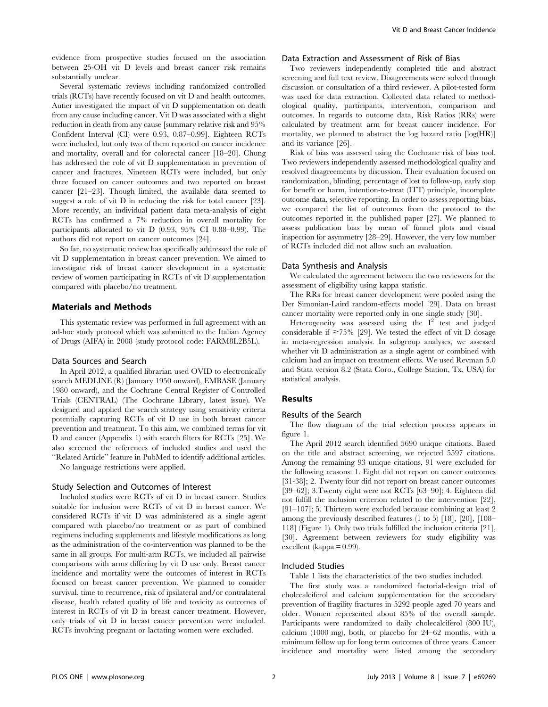evidence from prospective studies focused on the association between 25-OH vit D levels and breast cancer risk remains substantially unclear.

Several systematic reviews including randomized controlled trials (RCTs) have recently focused on vit D and health outcomes. Autier investigated the impact of vit D supplementation on death from any cause including cancer. Vit D was associated with a slight reduction in death from any cause [summary relative risk and 95% Confident Interval (CI) were 0.93, 0.87–0.99]. Eighteen RCTs were included, but only two of them reported on cancer incidence and mortality, overall and for colorectal cancer [18–20]. Chung has addressed the role of vit D supplementation in prevention of cancer and fractures. Nineteen RCTs were included, but only three focused on cancer outcomes and two reported on breast cancer [21–23]. Though limited, the available data seemed to suggest a role of vit D in reducing the risk for total cancer [23]. More recently, an individual patient data meta-analysis of eight RCTs has confirmed a 7% reduction in overall mortality for participants allocated to vit D (0.93, 95% CI 0.88–0.99). The authors did not report on cancer outcomes [24].

So far, no systematic review has specifically addressed the role of vit D supplementation in breast cancer prevention. We aimed to investigate risk of breast cancer development in a systematic review of women participating in RCTs of vit D supplementation compared with placebo/no treatment.

# Materials and Methods

This systematic review was performed in full agreement with an ad-hoc study protocol which was submitted to the Italian Agency of Drugs (AIFA) in 2008 (study protocol code: FARM8L2B5L).

#### Data Sources and Search

In April 2012, a qualified librarian used OVID to electronically search MEDLINE (R) (January 1950 onward), EMBASE (January 1980 onward), and the Cochrane Central Register of Controlled Trials (CENTRAL) (The Cochrane Library, latest issue). We designed and applied the search strategy using sensitivity criteria potentially capturing RCTs of vit D use in both breast cancer prevention and treatment. To this aim, we combined terms for vit D and cancer (Appendix 1) with search filters for RCTs [25]. We also screened the references of included studies and used the ''Related Article'' feature in PubMed to identify additional articles.

No language restrictions were applied.

#### Study Selection and Outcomes of Interest

Included studies were RCTs of vit D in breast cancer. Studies suitable for inclusion were RCTs of vit D in breast cancer. We considered RCTs if vit D was administered as a single agent compared with placebo/no treatment or as part of combined regimens including supplements and lifestyle modifications as long as the administration of the co-intervention was planned to be the same in all groups. For multi-arm RCTs, we included all pairwise comparisons with arms differing by vit D use only. Breast cancer incidence and mortality were the outcomes of interest in RCTs focused on breast cancer prevention. We planned to consider survival, time to recurrence, risk of ipsilateral and/or contralateral disease, health related quality of life and toxicity as outcomes of interest in RCTs of vit D in breast cancer treatment. However, only trials of vit D in breast cancer prevention were included. RCTs involving pregnant or lactating women were excluded.

### Data Extraction and Assessment of Risk of Bias

Two reviewers independently completed title and abstract screening and full text review. Disagreements were solved through discussion or consultation of a third reviewer. A pilot-tested form was used for data extraction. Collected data related to methodological quality, participants, intervention, comparison and outcomes. In regards to outcome data, Risk Ratios (RRs) were calculated by treatment arm for breast cancer incidence. For mortality, we planned to abstract the log hazard ratio [log(HR)] and its variance [26].

Risk of bias was assessed using the Cochrane risk of bias tool. Two reviewers independently assessed methodological quality and resolved disagreements by discussion. Their evaluation focused on randomization, blinding, percentage of lost to follow-up, early stop for benefit or harm, intention-to-treat (ITT) principle, incomplete outcome data, selective reporting. In order to assess reporting bias, we compared the list of outcomes from the protocol to the outcomes reported in the published paper [27]. We planned to assess publication bias by mean of funnel plots and visual inspection for asymmetry [28–29]. However, the very low number of RCTs included did not allow such an evaluation.

#### Data Synthesis and Analysis

We calculated the agreement between the two reviewers for the assessment of eligibility using kappa statistic.

The RRs for breast cancer development were pooled using the Der Simonian-Laird random-effects model [29]. Data on breast cancer mortality were reported only in one single study [30].

Heterogeneity was assessed using the  $I^2$  test and judged considerable if  $\geq 75\%$  [29]. We tested the effect of vit D dosage in meta-regression analysis. In subgroup analyses, we assessed whether vit D administration as a single agent or combined with calcium had an impact on treatment effects. We used Revman 5.0 and Stata version 8.2 (Stata Coro., College Station, Tx, USA) for statistical analysis.

## Results

## Results of the Search

The flow diagram of the trial selection process appears in figure 1.

The April 2012 search identified 5690 unique citations. Based on the title and abstract screening, we rejected 5597 citations. Among the remaining 93 unique citations, 91 were excluded for the following reasons: 1. Eight did not report on cancer outcomes [31-38]; 2. Twenty four did not report on breast cancer outcomes [39–62]; 3.Twenty eight were not RCTs [63–90]; 4. Eighteen did not fulfill the inclusion criterion related to the intervention [22], [91–107]; 5. Thirteen were excluded because combining at least 2 among the previously described features (1 to 5) [18], [20], [108– 118] (Figure 1). Only two trials fulfilled the inclusion criteria [21], [30]. Agreement between reviewers for study eligibility was excellent (kappa = 0.99).

#### Included Studies

Table 1 lists the characteristics of the two studies included.

The first study was a randomized factorial-design trial of cholecalciferol and calcium supplementation for the secondary prevention of fragility fractures in 5292 people aged 70 years and older. Women represented about 85% of the overall sample. Participants were randomized to daily cholecalciferol (800 IU), calcium (1000 mg), both, or placebo for 24–62 months, with a minimum follow up for long term outcomes of three years. Cancer incidence and mortality were listed among the secondary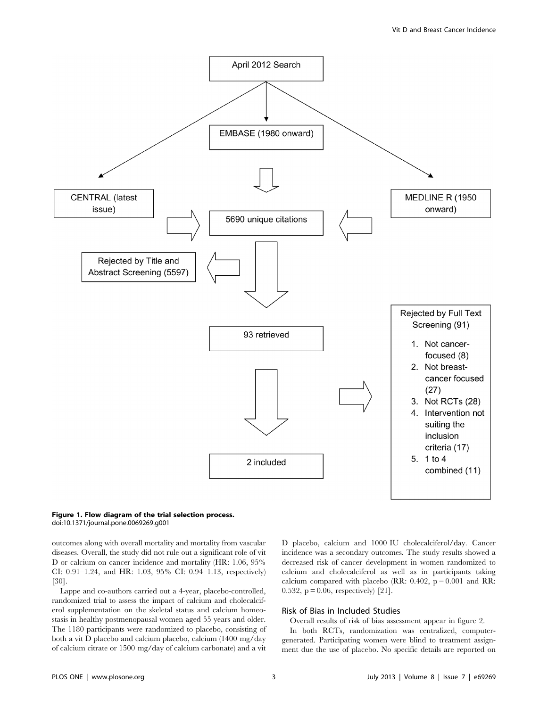

#### Figure 1. Flow diagram of the trial selection process. doi:10.1371/journal.pone.0069269.g001

outcomes along with overall mortality and mortality from vascular diseases. Overall, the study did not rule out a significant role of vit D or calcium on cancer incidence and mortality (HR: 1.06, 95% CI: 0.91–1.24, and HR: 1.03, 95% CI: 0.94–1.13, respectively) [30].

Lappe and co-authors carried out a 4-year, placebo-controlled, randomized trial to assess the impact of calcium and cholecalciferol supplementation on the skeletal status and calcium homeostasis in healthy postmenopausal women aged 55 years and older. The 1180 participants were randomized to placebo, consisting of both a vit D placebo and calcium placebo, calcium (1400 mg/day of calcium citrate or 1500 mg/day of calcium carbonate) and a vit D placebo, calcium and 1000 IU cholecalciferol/day. Cancer incidence was a secondary outcomes. The study results showed a decreased risk of cancer development in women randomized to calcium and cholecalciferol as well as in participants taking calcium compared with placebo (RR:  $0.402$ ,  $p = 0.001$  and RR: 0.532,  $p = 0.06$ , respectively) [21].

# Risk of Bias in Included Studies

Overall results of risk of bias assessment appear in figure 2.

In both RCTs, randomization was centralized, computergenerated. Participating women were blind to treatment assignment due the use of placebo. No specific details are reported on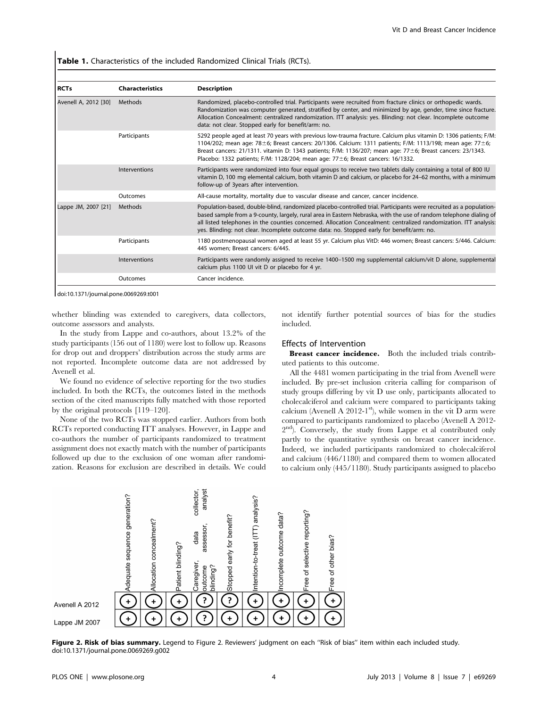Table 1. Characteristics of the included Randomized Clinical Trials (RCTs).

| l RCTs               | <b>Characteristics</b> | <b>Description</b>                                                                                                                                                                                                                                                                                                                                                                                                                                        |
|----------------------|------------------------|-----------------------------------------------------------------------------------------------------------------------------------------------------------------------------------------------------------------------------------------------------------------------------------------------------------------------------------------------------------------------------------------------------------------------------------------------------------|
| Avenell A, 2012 [30] | Methods                | Randomized, placebo-controlled trial. Participants were recruited from fracture clinics or orthopedic wards.<br>Randomization was computer generated, stratified by center, and minimized by age, gender, time since fracture.<br>Allocation Concealment: centralized randomization. ITT analysis: yes. Blinding: not clear. Incomplete outcome<br>data: not clear. Stopped early for benefit/arm: no.                                                    |
|                      | Participants           | 5292 people aged at least 70 years with previous low-trauma fracture. Calcium plus vitamin D: 1306 patients; F/M:<br>1104/202; mean age: 78±6; Breast cancers: 20/1306. Calcium: 1311 patients; F/M: 1113/198; mean age: 77±6;<br>Breast cancers: 21/1311. vitamin D: 1343 patients; F/M: 1136/207; mean age: 77±6; Breast cancers: 23/1343.<br>Placebo: 1332 patients; F/M: 1128/204; mean age: $77\pm6$ ; Breast cancers: 16/1332.                      |
|                      | Interventions          | Participants were randomized into four equal groups to receive two tablets daily containing a total of 800 IU<br>vitamin D, 100 mg elemental calcium, both vitamin D and calcium, or placebo for 24-62 months, with a minimum<br>follow-up of 3years after intervention.                                                                                                                                                                                  |
|                      | Outcomes               | All-cause mortality, mortality due to vascular disease and cancer, cancer incidence.                                                                                                                                                                                                                                                                                                                                                                      |
| Lappe JM, 2007 [21]  | Methods                | Population-based, double-blind, randomized placebo-controlled trial. Participants were recruited as a population-<br>based sample from a 9-county, largely, rural area in Eastern Nebraska, with the use of random telephone dialing of<br>all listed telephones in the counties concerned. Allocation Concealment: centralized randomization. ITT analysis:<br>yes. Blinding: not clear. Incomplete outcome data: no. Stopped early for benefit/arm: no. |
|                      | Participants           | 1180 postmenopausal women aged at least 55 yr. Calcium plus VitD: 446 women; Breast cancers: 5/446. Calcium:<br>445 women; Breast cancers: 6/445.                                                                                                                                                                                                                                                                                                         |
|                      | Interventions          | Participants were randomly assigned to receive 1400-1500 mg supplemental calcium/vit D alone, supplemental<br>calcium plus 1100 UI vit D or placebo for 4 yr.                                                                                                                                                                                                                                                                                             |
|                      | Outcomes               | Cancer incidence.                                                                                                                                                                                                                                                                                                                                                                                                                                         |

doi:10.1371/journal.pone.0069269.t001

whether blinding was extended to caregivers, data collectors, outcome assessors and analysts.

In the study from Lappe and co-authors, about 13.2% of the study participants (156 out of 1180) were lost to follow up. Reasons for drop out and droppers' distribution across the study arms are not reported. Incomplete outcome data are not addressed by Avenell et al.

We found no evidence of selective reporting for the two studies included. In both the RCTs, the outcomes listed in the methods section of the cited manuscripts fully matched with those reported by the original protocols [119–120].

None of the two RCTs was stopped earlier. Authors from both RCTs reported conducting ITT analyses. However, in Lappe and co-authors the number of participants randomized to treatment assignment does not exactly match with the number of participants followed up due to the exclusion of one woman after randomization. Reasons for exclusion are described in details. We could not identify further potential sources of bias for the studies included.

#### Effects of Intervention

Breast cancer incidence. Both the included trials contributed patients to this outcome.

All the 4481 women participating in the trial from Avenell were included. By pre-set inclusion criteria calling for comparison of study groups differing by vit D use only, participants allocated to cholecalciferol and calcium were compared to participants taking calcium (Avenell A 2012-1st), while women in the vit D arm were compared to participants randomized to placebo (Avenell A 2012-  $2<sup>nd</sup>$ ). Conversely, the study from Lappe et al contributed only partly to the quantitative synthesis on breast cancer incidence. Indeed, we included participants randomized to cholecalciferol and calcium (446/1180) and compared them to women allocated to calcium only (445/1180). Study participants assigned to placebo



Figure 2. Risk of bias summary. Legend to Figure 2. Reviewers' judgment on each "Risk of bias" item within each included study. doi:10.1371/journal.pone.0069269.g002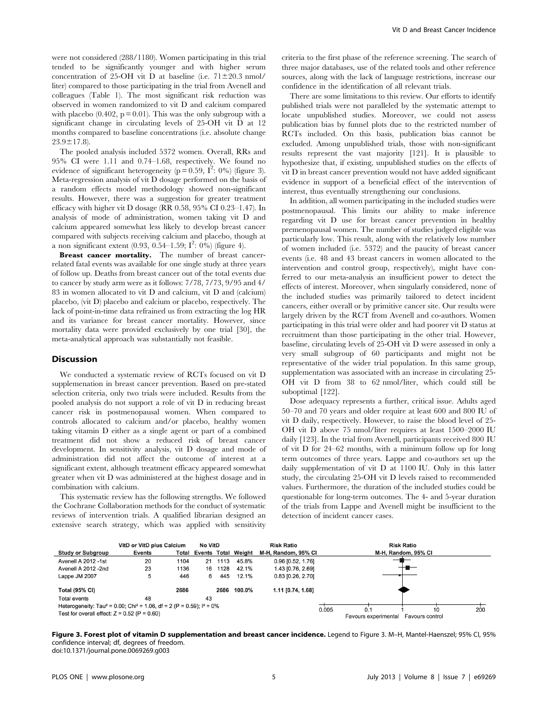were not considered (288/1180). Women participating in this trial tended to be significantly younger and with higher serum concentration of 25-OH vit D at baseline (i.e.  $71\pm20.3$  nmol/ liter) compared to those participating in the trial from Avenell and colleagues (Table 1). The most significant risk reduction was observed in women randomized to vit D and calcium compared with placebo  $(0.402, p = 0.01)$ . This was the only subgroup with a significant change in circulating levels of 25-OH vit D at 12 months compared to baseline concentrations (i.e. absolute change  $23.9 \pm 17.8$ .

The pooled analysis included 5372 women. Overall, RRs and 95% CI were 1.11 and 0.74–1.68, respectively. We found no evidence of significant heterogeneity ( $p = 0.59$ , I<sup>2</sup>: 0%) (figure 3). Meta-regression analysis of vit D dosage performed on the basis of a random effects model methodology showed non-significant results. However, there was a suggestion for greater treatment efficacy with higher vit D dosage (RR 0.58, 95% CI 0.23–1.47). In analysis of mode of administration, women taking vit D and calcium appeared somewhat less likely to develop breast cancer compared with subjects receiving calcium and placebo, though at a non significant extent (0.93, 0.54–1.59;  $I^2$ : 0%) (figure 4).

Breast cancer mortality. The number of breast cancerrelated fatal events was available for one single study at three years of follow up. Deaths from breast cancer out of the total events due to cancer by study arm were as it follows: 7/78, 7/73, 9/95 and 4/ 83 in women allocated to vit D and calcium, vit D and (calcium) placebo, (vit D) placebo and calcium or placebo, respectively. The lack of point-in-time data refrained us from extracting the log HR and its variance for breast cancer mortality. However, since mortality data were provided exclusively by one trial [30], the meta-analytical approach was substantially not feasible.

#### **Discussion**

We conducted a systematic review of RCTs focused on vit D supplemenation in breast cancer prevention. Based on pre-stated selection criteria, only two trials were included. Results from the pooled analysis do not support a role of vit D in reducing breast cancer risk in postmenopausal women. When compared to controls allocated to calcium and/or placebo, healthy women taking vitamin D either as a single agent or part of a combined treatment did not show a reduced risk of breast cancer development. In sensitivity analysis, vit D dosage and mode of administration did not affect the outcome of interest at a significant extent, although treatment efficacy appeared somewhat greater when vit D was administered at the highest dosage and in combination with calcium.

This systematic review has the following strengths. We followed the Cochrane Collaboration methods for the conduct of systematic reviews of intervention trials. A qualified librarian designed an extensive search strategy, which was applied with sensitivity

criteria to the first phase of the reference screening. The search of three major databases, use of the related tools and other reference sources, along with the lack of language restrictions, increase our confidence in the identification of all relevant trials.

There are some limitations to this review. Our efforts to identify published trials were not paralleled by the systematic attempt to locate unpublished studies. Moreover, we could not assess publication bias by funnel plots due to the restricted number of RCTs included. On this basis, publication bias cannot be excluded. Among unpublished trials, those with non-significant results represent the vast majority [121]. It is plausible to hypothesize that, if existing, unpublished studies on the effects of vit D in breast cancer prevention would not have added significant evidence in support of a beneficial effect of the intervention of interest, thus eventually strengthening our conclusions.

In addition, all women participating in the included studies were postmenopausal. This limits our ability to make inference regarding vit D use for breast cancer prevention in healthy premenopausal women. The number of studies judged eligible was particularly low. This result, along with the relatively low number of women included (i.e. 5372) and the paucity of breast cancer events (i.e. 48 and 43 breast cancers in women allocated to the intervention and control group, respectively), might have conferred to our meta-analysis an insufficient power to detect the effects of interest. Moreover, when singularly considered, none of the included studies was primarily tailored to detect incident cancers, either overall or by primitive cancer site. Our results were largely driven by the RCT from Avenell and co-authors. Women participating in this trial were older and had poorer vit D status at recruitment than those participating in the other trial. However, baseline, circulating levels of 25-OH vit D were assessed in only a very small subgroup of 60 participants and might not be representative of the wider trial population. In this same group, supplementation was associated with an increase in circulating 25- OH vit D from 38 to 62 nmol/liter, which could still be suboptimal [122].

Dose adequacy represents a further, critical issue. Adults aged 50–70 and 70 years and older require at least 600 and 800 IU of vit D daily, respectively. However, to raise the blood level of 25- OH vit D above 75 nmol/liter requires at least 1500–2000 IU daily [123]. In the trial from Avenell, participants received 800 IU of vit D for 24–62 months, with a minimum follow up for long term outcomes of three years. Lappe and co-authors set up the daily supplementation of vit D at 1100 IU. Only in this latter study, the circulating 25-OH vit D levels raised to recommended values. Furthermore, the duration of the included studies could be questionable for long-term outcomes. The 4- and 5-year duration of the trials from Lappe and Avenell might be insufficient to the detection of incident cancer cases.



Figure 3. Forest plot of vitamin D supplementation and breast cancer incidence. Legend to Figure 3. M–H, Mantel-Haenszel; 95% CI, 95% confidence interval; df, degrees of freedom. doi:10.1371/journal.pone.0069269.g003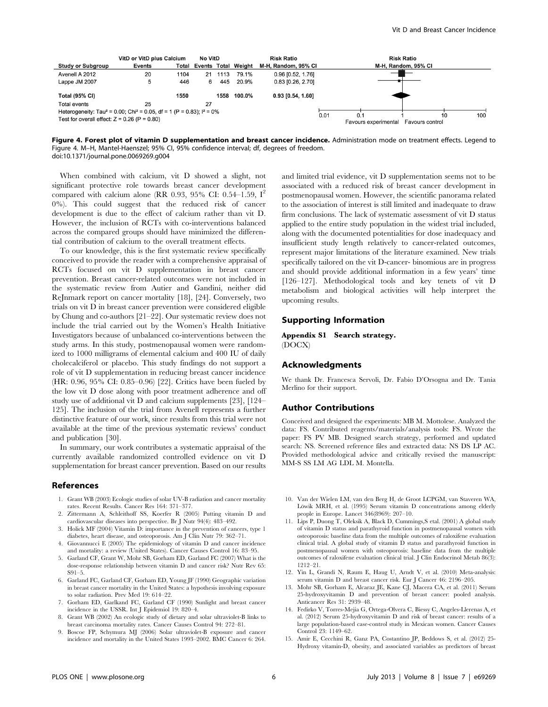

Figure 4. Forest plot of vitamin D supplementation and breast cancer incidence. Administration mode on treatment effects. Legend to Figure 4. M–H, Mantel-Haenszel; 95% CI, 95% confidence interval; df, degrees of freedom.

doi:10.1371/journal.pone.0069269.g004

When combined with calcium, vit D showed a slight, not significant protective role towards breast cancer development compared with calcium alone (RR 0.93, 95% CI: 0.54–1.59,  $I^2$ ) 0%). This could suggest that the reduced risk of cancer development is due to the effect of calcium rather than vit D. However, the inclusion of RCTs with co-interventions balanced across the compared groups should have minimized the differential contribution of calcium to the overall treatment effects.

To our knowledge, this is the first systematic review specifically conceived to provide the reader with a comprehensive appraisal of RCTs focused on vit D supplementation in breast cancer prevention. Breast cancer-related outcomes were not included in the systematic review from Autier and Gandini, neither did ReJnmark report on cancer mortality [18], [24]. Conversely, two trials on vit D in breast cancer prevention were considered eligible by Chung and co-authors [21–22]. Our systematic review does not include the trial carried out by the Women's Health Initiative Investigators because of unbalanced co-interventions between the study arms. In this study, postmenopausal women were randomized to 1000 milligrams of elemental calcium and 400 IU of daily cholecalciferol or placebo. This study findings do not support a role of vit D supplementation in reducing breast cancer incidence (HR: 0.96, 95% CI: 0.85–0.96) [22]. Critics have been fueled by the low vit D dose along with poor treatment adherence and off study use of additional vit D and calcium supplements [23], [124– 125]. The inclusion of the trial from Avenell represents a further distinctive feature of our work, since results from this trial were not available at the time of the previous systematic reviews' conduct and publication [30].

In summary, our work contributes a systematic appraisal of the currently available randomized controlled evidence on vit D supplementation for breast cancer prevention. Based on our results

#### References

- 1. Grant WB (2003) Ecologic studies of solar UV-B radiation and cancer mortality rates. Recent Results. Cancer Res 164: 371–377.
- 2. Zittermann A, Schleithoff SS, Koerfer R (2005) Putting vitamin D and cardiovascular diseases into perspective. Br J Nutr 94(4): 483–492.
- 3. Holick MF (2004) Vitamin D: importance in the prevention of cancers, type 1 diabetes, heart disease, and osteoporosis. Am J Clin Nutr 79: 362–71.
- 4. Giovannucci E (2005) The epidemiology of vitamin D and cancer incidence and mortality: a review (United States). Cancer Causes Control 16: 83–95.
- 5. Garland CF, Grant W, Mohr SB, Gorham ED, Garland FC (2007) What is the dose-response relationship between vitamin D and cancer risk? Nutr Rev 65: S91–5.
- 6. Garland FC, Garland CF, Gorham ED, Young JF (1990) Geographic variation in breast cancer mortality in the United States: a hypothesis involving exposure to solar radiation. Prev Med 19: 614–22.
- 7. Gorham ED, Garlkand FC, Garland CF (1990) Sunlight and breast cancer incidence in the USSR. Int J Epidemiol 19: 820–4.
- 8. Grant WB (2002) An ecologic study of dietary and solar ultraviolet-B links to breast carcinoma mortality rates. Cancer Causes Control 94: 272–81.
- 9. Boscoe FP, Schymura MJ (2006) Solar ultraviolet-B exposure and cancer incidence and mortality in the United States 1993–2002. BMC Cancer 6: 264.

and limited trial evidence, vit D supplementation seems not to be associated with a reduced risk of breast cancer development in postmenopausal women. However, the scientific panorama related to the association of interest is still limited and inadequate to draw firm conclusions. The lack of systematic assessment of vit D status applied to the entire study population in the widest trial included, along with the documented potentialities for dose inadequacy and insufficient study length relatively to cancer-related outcomes, represent major limitations of the literature examined. New trials specifically tailored on the vit D-cancer- binomious are in progress and should provide additional information in a few years' time [126–127]. Methodological tools and key tenets of vit D metabolism and biological activities will help interpret the upcoming results.

## Supporting Information

# Appendix S1 Search strategy. (DOCX)

### Acknowledgments

We thank Dr. Francesca Servoli, Dr. Fabio D'Orsogna and Dr. Tania Merlino for their support.

# Author Contributions

Conceived and designed the experiments: MB M. Mottolese. Analyzed the data: FS. Contributed reagents/materials/analysis tools: FS. Wrote the paper: FS PV MB. Designed search strategy, performed and updated search: NS. Screened reference files and extracted data: NS DS LP AC. Provided methodological advice and critically revised the manuscript: MM-S SS LM AG LDL M. Montella.

- 10. Van der Wielen LM, van den Berg H, de Groot LCPGM, van Staveren WA, Löwik MRH, et al. (1995) Serum vitamin D concentrations among elderly people in Europe. Lancet 346(8969): 207–10.
- 11. Lips P, Duong T, Oleksik A, Black D, Cummings,S etal. (2001) A global study of vitamin D status and parathyroid function in postmenopausal women with osteoporosis: baseline data from the multiple outcomes of raloxifene evaluation clinical trial. A global study of vitamin D status and parathyroid function in postmenopausal women with osteoporosis: baseline data from the multiple outcomes of raloxifene evaluation clinical trial. J Clin Endocrinol Metab 86(3): 1212–21.
- 12. Yin L, Grandi N, Raum E, Haug U, Arndt V, et al. (2010) Meta-analysis: serum vitamin D and breast cancer risk. Eur J Cancer 46: 2196–205.
- 13. Mohr SB, Gorham E, Alcaraz JE, Kane CJ, Macera CA, et al. (2011) Serum 25-hydroxyvitamin D and prevention of breast cancer: pooled analysis. Anticancer Res 31: 2939–48.
- 14. Fedirko V, Torres-Mejía G, Ortega-Olvera C, Biessy C, Angeles-Llerenas A, et al. (2012) Serum 25-hydroxyvitamin D and risk of breast cancer: results of a large population-based case-control study in Mexican women. Cancer Causes Control 23: 1149–62.
- 15. Amir E, Cecchini R, Ganz PA, Costantino JP, Beddows S, et al. (2012) 25- Hydroxy vitamin-D, obesity, and associated variables as predictors of breast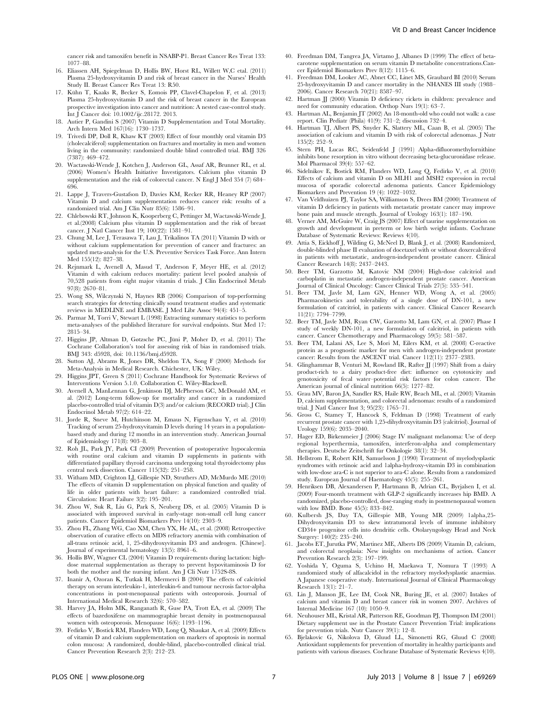cancer risk and tamoxifen benefit in NSABP-P1. Breast Cancer Res Treat 133: 1077–88.

- 16. Eliassen AH, Spiegelman D, Hollis BW, Horst RL, Willett W,C etal. (2011) Plasma 25-hydroxyvitamin D and risk of breast cancer in the Nurses' Health Study II. Breast Cancer Res Treat 13: R50.
- 17. Kühn T, Kaaks R, Becker S, Eomois PP, Clavel-Chapelon F, et al. (2013) Plasma 25-hydroxyvitamin D and the risk of breast cancer in the European prospective investigation into cancer and nutrition: A nested case-control study. Int J Cancer doi: 10.1002/ijc.28172. 2013.
- 18. Autier P, Gandini S (2007) Vitamin D Supplementation and Total Mortality. Arch Intern Med 167(16): 1730–1737.
- 19. Trivedi DP, Doll R, Khaw KT (2003) Effect of four monthly oral vitamin D3 (cholecalciferol) supplementation on fractures and mortality in men and women living in the community: randomized double blind controlled trial. BMJ 326 (7387): 469–472.
- 20. Wactawski-Wende J, Kotchen J, Anderson GL, Assaf AR, Brunner RL, et al. (2006) Women's Health Initiative Investigators. Calcium plus vitamin D supplementation and the risk of colorectal cancer. N Engl J Med 354 (7) 684– 696.
- 21. Lappe J, Travers-Gustafson D, Davies KM, Recker RR, Heaney RP (2007) Vitamin D and calcium supplementation reduces cancer risk: results of a randomized trial. Am J Clin Nutr 85(6): 1586–91.
- 22. Chlebowski RT, Johnson K, Kooperberg C, Pettinger M, Wactawski-Wende J, et al.(2008) Calcium plus vitamin D supplementation and the risk of breast cancer. J Natl Cancer Inst 19; 100(22): 1581–91.
- 23. Chung M, Lee J, Terasawa T, Lau J, Trikalinos TA (2011) Vitamin D with or without calcium supplementation for prevention of cancer and fractures: an updated meta-analysis for the U.S. Preventive Services Task Force. Ann Intern Med 155(12): 827–38.
- 24. Rejnmark L, Avenell A, Masud T, Anderson F, Meyer HE, et al. (2012) Vitamin d with calcium reduces mortality: patient level pooled analysis of 70,528 patients from eight major vitamin d trials. J Clin Endocrinol Metab 97(8): 2670–81.
- 25. Wong SS, Wilczynski N, Haynes RB (2006) Comparison of top-performing search strategies for detecting clinically sound treatment studies and systematic reviews in MEDLINE and EMBASE. J Med Libr Assoc 94(4): 451–5.
- 26. Parmar M, Torri V, Stewart L (1998) Extracting summary statistics to perform meta-analyses of the published literature for survival endpoints. Stat Med 17: 2815–34.
- 27. Higgins JP, Altman D, Gøtzsche PC, Jüni P, Moher D, et al. (2011) The Cochrane Collaboration's tool for assessing risk of bias in randomised trials. BMJ 343: d5928, doi: 10.1136/bmj.d5928.
- 28. Sutton AJ, Abrams R, Jones DR, Sheldon TA, Song F (2000) Methods for Meta-Analysis in Medical Research. Chichester, UK: Wiley.
- 29. Higgins JPT, Green S (2011) Cochrane Handbook for Systematic Reviews of Interventions Version 5.1.0. Collaboration C. Wiley-Blackwell.
- 30. Avenell A, ManLennan G, Jenkinson DJ, McPherson GC, McDonald AM, et al. (2012) Long-term follow-up for mortality and cancer in a randomized placebo-controlled trial of vitamin D(3) and/or calcium (RECORD trial). J Clin Endocrinol Metab 97(2): 614–22.
- 31. Jorde R, Sneve M, Hutchinson M, Emaus N, Figenschau Y, et al. (2010) Tracking of serum 25-hydroxyvitamin D levels during 14 years in a populationbased study and during 12 months in an intervention study. American Journal of Epidemiology 171(8): 903–8.
- 32. Roh JL, Park JY, Park CI (2009) Prevention of postoperative hypocalcemia with routine oral calcium and vitamin D supplements in patients with differentiated papillary thyroid carcinoma undergoing total thyroidectomy plus central neck dissection. Cancer 115(32): 251–258.
- 33. Witham MD, Crighton LJ, Gillespie ND, Struthers AD, McMurdo ME (2010) The effects of vitamin D supplementation on physical function and quality of life in older patients with heart failure: a randomized controlled trial. Circulation: Heart Failure 3(2): 195–201.
- 34. Zhou W, Suk R, Liu G, Park S, Neuberg DS, et al. (2005) Vitamin D is associated with improved survival in early-stage non-small cell lung cancer patients. Cancer Epidemiol Biomarkers Prev 14(10): 2303–9.
- 35. Zhou FL, Zhang WG, Cao XM, Chen YX, He AL, et al. (2008) Retrospective observation of curative effects on MDS refractory anemia with combination of all-trans retinoic acid, 1, 25-dihydroxyvitamin D3 and androgen. [Chinese]. Journal of experimental hematology 13(5): 8961–6.
- 36. Hollis BW, Wagner CL (2004) Vitamin D requirements during lactation: highdose maternal supplementation as therapy to prevent hypovitaminosis D for both the mother and the nursing infant. Am J Cli Nutr 1752S-8S.
- 37. Inanir A, Ozoran K, Tutkak H, Mermerci B (2004) The effects of calcitriol therapy on serum interleukin-1, interleukin-6 and tumour necrosis factor-alpha concentrations in post-menopausal patients with osteoporosis. Journal of International Medical Research 32(6): 570–582.
- 38. Harvey JA, Holm MK, Ranganath R, Guse PA, Trott EA, et al. (2009) The effects of bazedoxifene on mammographie breast density in postmenopausal women with osteoporosis. Menopause 16(6): 1193–1196.
- 39. Fedirko V, Bostick RM, Flanders WD, Long Q, Shaukat A, et al. (2009) Effects of vitamin D and calcium supplementation on markers of apoptosis in normal colon mucosa: A randomized, double-blind, placebo-controlled clinical trial. Cancer Prevention Research 2(3): 212–23.
- 40. Freedman DM, Tangrea JA, Virtamo J, Albanes D (1999) The effect of betacarotene supplementation on serum vitamin D metabolite concentrations.Cancer Epidemiol Biomarkers Prev 8(12): 1115–6.
- 41. Freedman DM, Looker AC, Abnet CC, Linet MS, Graubard BI (2010) Serum 25-hydroxyvitamin D and cancer mortality in the NHANES III study (1988– 2006). Cancer Research 70(21): 8587–97.
- 42. Hartman JJ (2000) Vitamin D deficiency rickets in children: prevalence and need for community education. Orthop Nurs 19(1): 63–7.
- 43. Hartman AL, Benjamin JT (2002) An 18-month-old who could not walk: a case report. Clin Pediatr (Phila) 41(9): 731–2; discussion 732–4.
- 44. Hartman TJ, Albert PS, Snyder K, Slattery ML, Caan B, et al. (2005) The association of calcium and vitamin  $\hat{D}$  with risk of colorectal adenomas. I Nutr 135(2): 252–9.
- 45. Stern PH, Lucas RC, Seidenfeld J (1991) Alpha-difluoromethylornithine inhibits bone resorption in vitro without decreasing beta-glucuronidase release. Mol Pharmacol 39(4): 557–62.
- 46. Sidelnikov E, Bostick RM, Flanders WD, Long Q, Fedirko V, et al. (2010) Effects of calcium and vitamin D on MLH1 and MSH2 expression in rectal mucosa of sporadic colorectal adenoma patients. Cancer Epidemiology Biomarkers and Prevention 19 (4): 1022–1032.
- 47. Van Veldhuizen PJ, Taylor SA, Williamson S, Drees BM (2000) Treatment of vitamin D deficiency in patients with metastatic prostate cancer may improve bone pain and muscle strength. Journal of Urology 163(1): 187–190.
- 48. Verner AM, McGuire W, Craig JS (2007) Effect of taurine supplementation on growth and development in preterm or low birth weight infants. Cochrane Database of Systematic Reviews: Reviews 4(10).
- 49. Attia S, Eickhoff J, Wilding G, McNeel D, Blank J, et al. (2008) Randomized, double-blinded phase II evaluation of docetaxel with or without doxercalciferol in patients with metastatic, androgen-independent prostate cancer. Clinical Cancer Research 14(8): 2437–2443.
- 50. Beer TM, Garzotto M, Katovic NM (2004) High-dose calcitriol and carboplatin in metastatic androgen-independent prostate cancer. American Journal of Clinical Oncology: Cancer Clinical Trials 27(5): 535–541.
- 51. Beer TM, Javle M, Lam GN, Henner WD, Wong A, et al. (2005) Pharmacokinetics and tolerability of a single dose of DN-101, a new formulation of catcitriol, in patients with cancer. Clinical Cancer Research 11(21): 7794–7799.
- 52. Beer TM, Javle MM, Ryan CW, Garzotto M, Lam GN, et al. (2007) Phase I study of weekly DN-101, a new formulation of calcitriol, in patients with cancer. Cancer Chemotherapy and Pharmacology 59(5): 581–587.
- 53. Beer TM, Lalani AS, Lee S, Mori M, Eilers KM, et al. (2008) C-reactive protein as a prognostic marker for men with androgen-independent prostate cancer: Results from the ASCENT trial. Cancer 112(11): 2377–2383.
- 54. Glinghammar B, Venturi M, Rowland IR, Rafter JJ (1997) Shift from a dairy product-rich to a dairy product-free diet: influence on cytotoxicity and genotoxicity of fecal water–potential risk factors for colon cancer. The American journal of clinical nutrition 66(5): 1277–82.
- 55. Grau MV, Baron JA, Sandler RS, Haile RW, Beach ML, et al. (2003) Vitamin D, calcium supplementation, and colorectal adenomas: results of a randomized trial. J Natl Cancer Inst 3; 95(23): 1765–71.
- 56. Gross C, Stamey T, Hancock S, Feldman D (1998) Treatment of early recurrent prostate cancer with 1,25-dihydroxyvitamin D3 (calcitriol). Journal of Urology 159(6): 2035–2040.
- 57. Hager ED, Birkenmeier J (2006) Stage IV malignant melanoma: Use of deep regional hyperthermia, tamoxifen, interferon-alpha and complementary therapies. Deutsche Zeitschrift fur Onkologie 38(1): 32–34.
- 58. Hellstrom E, Robert KH, Samuelsson J (1990) Treatment of myelodysplastic syndromes with retinoic acid and 1alpha-hydroxy-vitamin D3 in combination with low-dose ara-C is not superior to ara-C alone. Results from a randomized study. European Journal of Haematology 45(5): 255–261.
- 59. Henriksen DB, Alexandersen P, Hartmann B, Adrian CL, Byrjalsen I, et al. (2009) Four-month treatment with GLP-2 significantly increases hip BMD. A randomized, placebo-controlled, dose-ranging study in postmenopausal women with low BMD. Bone 45(5): 833–842.
- 60. Kulbersh JS, Day TA, Gillespie MB, Young MR (2009) 1alpha,25- Dihydroxyvitamin D3 to skew intratumoral levels of immune inhibitory CD34+ progenitor cells into dendritic cells. Otolaryngology Head and Neck Surgery: 140(2): 235–240.
- 61. Jacobs ET, Jurutka PW, Martinez ME, Alberts DS (2009) Vitamin D, calcium, and colorectal neoplasia: New insights on mechanisms of action. Cancer Prevention Research 2(3): 197–199.
- 62. Yoshida Y, Oguma S, Uchino H, Maekawa T, Nomura T (1993) A randomized study of alfacalcidol in the refractory myelodysplastic anaemias. A Japanese cooperative study. International Journal of Clinical Pharmacology Research 13(1): 21–7.
- 63. Lin J, Manson JE, Lee IM, Cook NR, Buring JE, et al. (2007) Intakes of calcium and vitamin D and breast cancer risk in women 2007. Archives of Internal Medicine 167 (10): 1050–9.
- 64. Neuhouser ML, Kristal AR, Patterson RE, Goodman PJ, Thompson IM (2001) Dietary supplement use in the Prostate Cancer Prevention Trial: implications for prevention trials. Nutr Cancer 39(1): 12–8.
- 65. Bjelakovic G, Nikolova D, Gluud LL, Simonetti RG, Gluud C (2008) Antioxidant supplements for prevention of mortality in healthy participants and patients with various diseases. Cochrane Database of Systematic Reviews 4(10).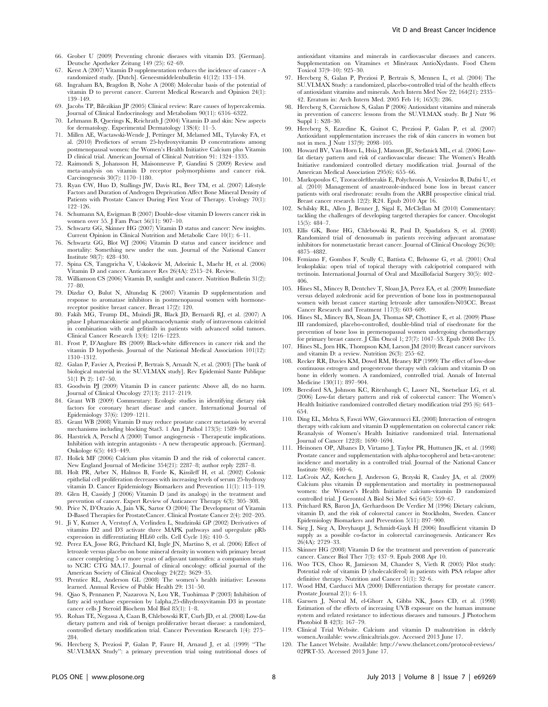- 66. Grober U (2009) Preventing chronic diseases with vitamin D3. [German]. Deutsche Apotheker Zeitung 149 (25): 62–69.
- 67. Kerst A (2007) Vitamin D supplementation reduces the incidence of cancer A randomized study. [Dutch]. Geneesmiddelenbulletin 41(12): 133–134.
- 68. Ingraham BA, Bragdon B, Nohe A (2008) Molecular basis of the potential of vitamin D to prevent cancer. Current Medical Research and Opinion 24(1): 139–149.
- 69. Jacobs TP, Bilezikian JP (2005) Clinical review: Rare causes of hypercalcemia. Journal of Clinical Endocrinology and Metabolism 90(11): 6316–6322.
- 70. Lehmann B, Querings K, Reichrath J (2004) Vitamin D and skin: New aspects for dermatology. Experimental Dermatology 13S(4): 11–5.
- 71. Millen AE, Wactawski-Wende J, Pettinger M, Melamed ML, Tylavsky FA, et al. (2010) Predictors of serum 25-hydroxyvitamin D concentrations among postmenopausal women: the Women's Health Initiative Calcium plus Vitamin D clinical trial. American Journal of Clinical Nutrition 91: 1324–1335.
- 72. Raimondi S, Johansson H, Maisonneuve P, Gandini S (2009) Review and meta-analysis on vitamin D receptor polymorphisms and cancer risk. Carcinogenesis 30(7): 1170–1180.
- 73. Ryan CW, Huo D, Stallings JW, Davis RL, Beer TM, et al. (2007) Lifestyle Factors and Duration of Androgen Deprivation Affect Bone Mineral Density of Patients with Prostate Cancer During First Year of Therapy. Urology 70(1): 122–126.
- 74. Schumann SA, Ewigman B (2007) Double-dose vitamin D lowers cancer risk in women over 55. J Fam Pract 56(11): 907–10.
- 75. Schwartz GG, Skinner HG (2007) Vitamin D status and cancer: New insights. Current Opinion in Clinical Nutrition and Metabolic Care 10(1): 6–11.
- 76. Schwartz GG, Blot WJ (2006) Vitamin D status and cancer incidence and mortality: Something new under the sun. Journal of the National Cancer Institute 98(7): 428–430.
- 77. Spina CS, Tangpricha V, Uskokovic M, Adorinic L, Maehr H, et al. (2006) Vitamin D and cancer. Anticancer Res 26(4A): 2515–24. Review.
- 78. Williamson CS (2006) Vitamin D, sunlight and cancer. Nutrition Bulletin 31(2): 77–80.
- 79. Dizdar O, Bulut N, Altundag K (2007) Vitamin D supplementation and response to aromatase inhibitors in postmenopausal women with hormonereceptor positive breast cancer. Breast 17(2): 120.
- 80. Fakih MG, Trump DL, Muindi JR, Black JD, Bernardi RJ, et al. (2007) A phase I pharmacokinetic and pharmacodynamic study of intravenous calcitriol in combination with oral gefitinib in patients with advanced solid tumors. Clinical Cancer Research 13(4): 1216–1223.
- 81. Frost P, D'Anglure BS (2009) Black-white differences in cancer risk and the vitamin D hypothesis. Journal of the National Medical Association 101(12): 1310–1312.
- 82. Galan P, Favier A, Preziosi P, Bertrais S, Arnault N, et al. (2003) [The bank of biological material in the SU.VI.MAX study]. Rev Epidemiol Sante Publique 51(1 Pt 2): 147–50.
- 83. Goodwin PJ (2009) Vitamin D in cancer patients: Above all, do no harm. Journal of Clinical Oncology 27(13): 2117–2119.
- 84. Grant WB (2009) Commentary: Ecologic studies in identifying dietary risk factors for coronary heart disease and cancer. International Journal of Epidemiology 37(6): 1209–1211.
- 85. Grant WB (2008) Vitamin D may reduce prostate cancer metastasis by several mechanisms including blocking Stat3. 1 Am J Pathol 173(5): 1589–90.
- 86. Harstrick A, Perschl A (2000) Tumor angiogenesis Therapeutic implications. Inhibition with integrin antagonists - A new therapeutic approach. [German]. Onkologe 6(5): 443–449.
- 87. Holick MF (2006) Calcium plus vitamin D and the risk of colorectal cancer. New England Journal of Medicine 354(21): 2287–8; author reply 2287–8.
- 88. Holt PR, Arber N, Halmos B, Forde K, Kissileff H, et al. (2002) Colonic epithelial cell proliferation decreases with increasing levels of serum 25-hydroxy vitamin D. Cancer Epidemiology Biomarkers and Prevention 11(1): 113–119.
- 89. Glen H, Cassidy J (2006) Vitamin D (and its analogs) in the treatment and prevention of cancer. Expert Review of Anticancer Therapy 6(3): 305–308.
- 90. Price N, D'Orazio A, Jain VK, Sartor O (2004) The Development of Vitamin D-Based Therapies for ProstateCancer. Clinical Prostate Cancer 2(4): 202–205.
- 91. Ji Y, Kutner A, Verstuyf A, Verlinden L, Studzinski GP (2002) Derivatives of vitamins D2 and D3 activate three MAPK pathways and upregulate pRb expression in differentiating HL60 cells. Cell Cycle 1(6): 410-5
- 92. Perez EA, Josse RG, Pritchard KI, Ingle JN, Martino S, et al. (2006) Effect of letrozole versus placebo on bone mineral density in women with primary breast cancer completing 5 or more years of adjuvant tamoxifen: a companion study to NCIC CTG MA.17. Journal of clinical oncology: official journal of the American Society of Clinical Oncology 24(22): 3629–35.
- 93. Prentice RL, Anderson GL (2008) The women's health initiative: Lessons learned. Annual Review of Public Health 29: 131–50.
- 94. Qiao S, Pennanen P, Nazarova N, Lou YR, Tuohimaa P (2003) Inhibition of fatty acid synthase expression by 1alpha,25-dihydroxyvitamin D3 in prostate cancer cells J Steroid Biochem Mol Biol 85(1): 1–8.
- 95. Rohan TE, Negassa A, Caan B, Chlebowski RT, Curb JD, et al. (2008) Low-fat dietary pattern and risk of benign proliferative breast disease: a randomized, controlled dietary modification trial. Cancer Prevention Research 1(4): 275– 284.
- 96. Hercberg S, Preziosi P, Galan P, Faure H, Arnaud J, et al. (1999) ''The SU.VI.MAX Study'': a primary prevention trial using nutritional doses of

antioxidant vitamins and minerals in cardiovascular diseases and cancers. Supplementation on Vitamines et Minéraux AntioXydants. Food Chem Toxicol 37(9–10): 925–30.

- 97. Hercberg S, Galan P, Preziosi P, Bertrais S, Mennen L, et al. (2004) The SU.VI.MAX Study: a randomized, placebo-controlled trial of the health effects of antioxidant vitamins and minerals. Arch Intern Med Nov 22; 164(21): 2335– 42. Erratum in: Arch Intern Med. 2005 Feb 14; 165(3): 286.
- 98. Hercberg S, Czernichow S, Galan P (2006) Antioxidant vitamins and minerals in prevention of cancers: lessons from the SU.VI.MAX study. Br J Nutr 96 Suppl 1: S28–30.
- 99. Hercberg S, Ezzedine K, Guinot C, Preziosi P, Galan P, et al. (2007) Antioxidant supplementation increases the risk of skin cancers in women but not in men. J Nutr 137(9): 2098–105.
- 100. Howard BV, Van Horn L, Hsia J, Manson JE, Stefanick ML, et al. (2006) Lowfat dietary pattern and risk of cardiovascular disease: The Women's Health Initiative randomized controlled dietary modification trial. Journal of the American Medical Association 295(6): 655–66.
- 101. Markopoulos C, Tzoracoleftherakis E, Polychronis A, Venizelos B, Dafni U, et al. (2010) Management of anastrozole-induced bone loss in breast cancer patients with oral risedronate: results from the ARBI prospective clinical trial. Breast cancer research 12(2): R24. Epub 2010 Apr 16.
- 102. Schilsky RL, Allen J, Benner J, Sigal E, McClellan M (2010) Commentary: tackling the challenges of developing targeted therapies for cancer. Oncologist 15(5): 484–7.
- 103. Ellis GK, Bone HG, Chlebowski R, Paul D, Spadafora S, et al. (2008) Randomized trial of denosumab in patients receiving adjuvant aromatase inhibitors for nonmetastatic breast cancer. Journal of Clinical Oncology 26(30): 4875–4882.
- 104. Femiano F, Gombos F, Scully C, Battista C, Belnome G, et al. (2001) Oral leukoplakia: open trial of topical therapy with calcipotriol compared with tretinoin. International Journal of Oral and Maxillofacial Surgery 30(5): 402– 406.
- 105. Hines SL, Mincey B, Dentchev T, Sloan JA, Perez EA, et al. (2009) Immediate versus delayed zoledronic acid for prevention of bone loss in postmenopausal women with breast cancer starting letrozole after tamoxifen-N03CC. Breast Cancer Research and Treatment 117(3): 603–609.
- 106. Hines SL, Mincey BA, Sloan JA, Thomas SP, Chottiner E, et al. (2009) Phase III randomized, placebo-controlled, double-blind trial of risedronate for the prevention of bone loss in premenopausal women undergoing chemotherapy for primary breast cancer. J Clin Oncol 1; 27(7): 1047–53. Epub 2008 Dec 15.
- 107. Hines SL, Jorn HK, Thompson KM, Larson JM (2010) Breast cancer survivors and vitamin D: a review. Nutrition 26(3): 255–62.
- 108. Recker RR, Davies KM, Dowd RM, Heaney RP (1999) The effect of low-dose continuous estrogen and progesterone therapy with calcium and vitamin D on bone in elderly women. A randomized, controlled trial. Annals of Internal Medicine 130(11): 897–904.
- 109. Beresford SA, Johnson KC, Ritenbaugh C, Lasser NL, Snetselaar LG, et al. (2006) Low-fat dietary pattern and risk of colorectal cancer: The Women's Health Initiative randomized controlled dietary modification trial 295 (6): 643– 654.
- 110. Ding EL, Mehta S, Fawzi WW, Giovannucci EL (2008) Interaction of estrogen therapy with calcium and vitamin D supplementation on colorectal cancer risk: Reanalysis of Women's Health Initiative randomized trial. International Journal of Cancer 122(8): 1690–1694.
- 111. Heinonen OP, Albanes D, Virtamo J, Taylor PR, Huttunen JK, et al. (1998) Prostate cancer and supplementation with alpha-tocopherol and beta-carotene: incidence and mortality in a controlled trial. Journal of the National Cancer Institute 90(6): 440–6.
- 112. LaCroix AZ, Kotchen J, Anderson G, Brzyski R, Cauley JA, et al. (2009) Calcium plus vitamin D supplementation and mortality in postmenopausal women: the Women's Health Initiative calcium-vitamin D randomized controlled trial. J Gerontol A Biol Sci Med Sci 64(5): 559–67.
- 113. Pritchard RS, Baron JA, Gerhardsson De Verdier M (1996) Dietary calcium, vitamin D, and the risk of colorectal cancer in Stockholm, Sweden. Cancer Epidemiology Biomarkers and Prevention 5(11): 897–900.
- 114. Sieg J, Sieg A, Dreyhaupt J, Schmidt-Gayk H (2006) Insufficient vitamin D supply as a possible co-factor in colorectal carcinogenesis. Anticancer Res 26(4A): 2729–33.
- 115. Skinner HG (2008) Vitamin D for the treatment and prevention of pancreatic cancer. Cancer Biol Ther 7(3): 437–9. Epub 2008 Apr 10.
- 116. Woo TCS, Choo R, Jamieson M, Chander S, Vieth R (2005) Pilot study: Potential role of vitamin D (cholecalciferol) in patients with PSA relapse after definitive therapy. Nutrition and Cancer 51(1): 32–6.
- 117. Wood HM, Carducci MA (2000) Differentiation therapy for prostate cancer. Prostate Journal 2(1): 6–13.
- 118. Garssen J, Norval M, el-Ghorr A, Gibbs NK, Jones CD, et al. (1998) Estimation of the effects of increasing UVB exposure on the human immune system and related resistance to infectious diseases and tumours. J Photochem Photobiol B 42(3): 167–79.
- 119. Clinical Trial Website. Calcium and vitamin D malnutrition in elderly women.Available: www.clinicaltrials.gov. Accessed 2013 June 17.
- 120. The Lancet Website. Available: http://www.thelancet.com/protocol-reviews/ 02PRT-35. Accessed 2013 June 17.